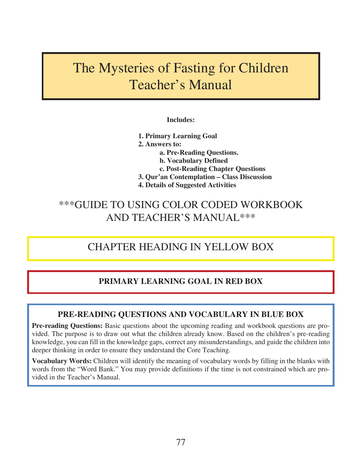# The Mysteries of Fasting for Children Teacher's Manual

### **Includes:**

**1. Primary Learning Goal 2. Answers to: a. Pre-Reading Questions. b. Vocabulary Defined c. Post-Reading Chapter Questions 3. Qur'an Contemplation – Class Discussion 4. Details of Suggested Activities**

# \*\*\*GUIDE TO USING COLOR CODED WORKBOOK AND TEACHER'S MANUAL\*\*\*

# CHAPTER HEADING IN YELLOW BOX

### **PRIMARY LEARNING GOAL IN RED BOX**

### **PRE-READING QUESTIONS AND VOCABULARY IN BLUE BOX**

**Pre-reading Questions:** Basic questions about the upcoming reading and workbook questions are provided. The purpose is to draw out what the children already know. Based on the children's pre-reading knowledge, you can fill in the knowledge gaps, correct any misunderstandings, and guide the children into deeper thinking in order to ensure they understand the Core Teaching.

**Vocabulary Words:** Children will identify the meaning of vocabulary words by filling in the blanks with words from the "Word Bank." You may provide definitions if the time is not constrained which are provided in the Teacher's Manual.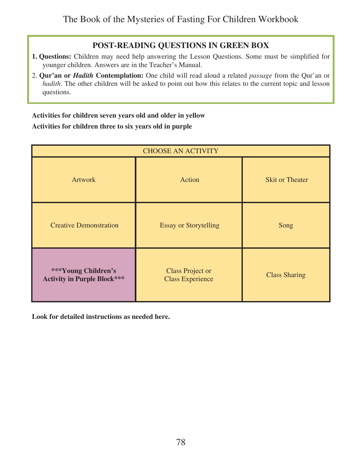### **POST-READING QUESTIONS IN GREEN BOX**

- **1. Questions:** Children may need help answering the Lesson Questions. Some must be simplified for younger children. Answers are in the Teacher's Manual.
- 2. **Qur'an or** *Hadith* **Contemplation:** One child will read aloud a related *passage* from the Qur'an or *hadith*. The other children will be asked to point out how this relates to the current topic and lesson questions.

### **Activities for children seven years old and older in yellow Activities for children three to six years old in purple**

| <b>CHOOSE AN ACTIVITY</b>                                 |                                                    |                        |
|-----------------------------------------------------------|----------------------------------------------------|------------------------|
| <b>Artwork</b>                                            | Action                                             | <b>Skit or Theater</b> |
| <b>Creative Demonstration</b>                             | <b>Essay or Storytelling</b>                       | Song                   |
| ***Young Children's<br><b>Activity in Purple Block***</b> | <b>Class Project or</b><br><b>Class Experience</b> | <b>Class Sharing</b>   |

**Look for detailed instructions as needed here.**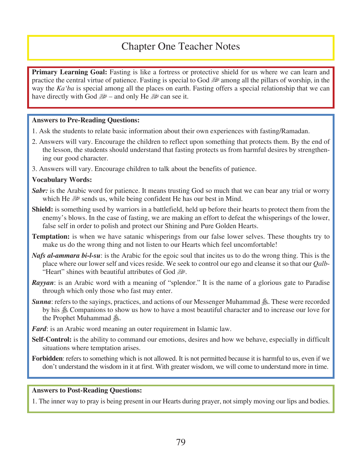# Chapter One Teacher Notes

**Primary Learning Goal:** Fasting is like a fortress or protective shield for us where we can learn and practice the central virtue of patience. Fasting is special to God  $\mathbb{R}^2$  among all the pillars of worship, in the way the *Ka'ba* is special among all the places on earth. Fasting offers a special relationship that we can have directly with God  $\mathbb{R}^2$  – and only He  $\mathbb{R}^2$  can see it.

#### **Answers to Pre-Reading Questions:**

- 1. Ask the students to relate basic information about their own experiences with fasting/Ramadan.
- 2. Answers will vary. Encourage the children to reflect upon something that protects them. By the end of the lesson, the students should understand that fasting protects us from harmful desires by strengthening our good character.
- 3. Answers will vary. Encourage children to talk about the benefits of patience.

#### **Vocabulary Words:**

- **Sabr:** is the Arabic word for patience. It means trusting God so much that we can bear any trial or worry which He  $\mathbb{R}^n$  sends us, while being confident He has our best in Mind.
- **Shield:** is something used by warriors in a battlefield, held up before their hearts to protect them from the enemy's blows. In the case of fasting, we are making an effort to defeat the whisperings of the lower, false self in order to polish and protect our Shining and Pure Golden Hearts.
- **Temptation:** is when we have satanic whisperings from our false lower selves. These thoughts try to make us do the wrong thing and not listen to our Hearts which feel uncomfortable!
- *Nafs al-ammara bi-l-su*: is the Arabic for the egoic soul that incites us to do the wrong thing. This is the place where our lower self and vices reside. We seek to control our ego and cleanse it so that our *Qalb*- "Heart" shines with beautiful attributes of God
- *Rayyan*: is an Arabic word with a meaning of "splendor." It is the name of a glorious gate to Paradise through which only those who fast may enter.
- *Sunna*: refers to the sayings, practices, and actions of our Messenger Muhammad  $\hat{\mathcal{E}}$ . These were recorded by his  $\&$  Companions to show us how to have a most beautiful character and to increase our love for the Prophet Muhammad  $\mathcal{E}$ .
- *Fard*: is an Arabic word meaning an outer requirement in Islamic law.
- **Self-Control:** is the ability to command our emotions, desires and how we behave, especially in difficult situations where temptation arises.
- **Forbidden**: refers to something which is not allowed. It is not permitted because it is harmful to us, even if we don't understand the wisdom in it at first. With greater wisdom, we will come to understand more in time.

#### **Answers to Post-Reading Questions:**

1. The inner way to pray is being present in our Hearts during prayer, not simply moving our lips and bodies.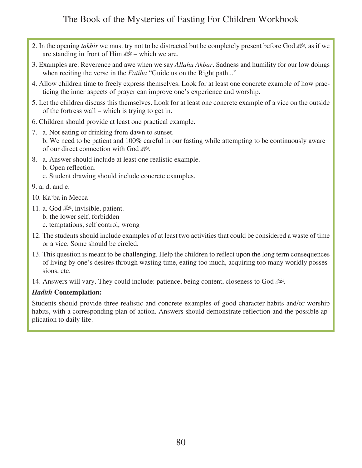- 2. In the opening *takbir* we must try not to be distracted but be completely present before God  $\mathbb{R}^n$ , as if we are standing in front of Him  $\mathbb{R}^2$  – which we are.
- 3. Examples are: Reverence and awe when we say *Allahu Akbar*. Sadness and humility for our low doings when reciting the verse in the *Fatiha* "Guide us on the Right path..."
- 4. Allow children time to freely express themselves. Look for at least one concrete example of how practicing the inner aspects of prayer can improve one's experience and worship.
- 5. Let the children discuss this themselves. Look for at least one concrete example of a vice on the outside of the fortress wall – which is trying to get in.
- 6. Children should provide at least one practical example.
- 7. a. Not eating or drinking from dawn to sunset.
	- b. We need to be patient and 100% careful in our fasting while attempting to be continuously aware of our direct connection with God  $\mathbb{R}^2$ .
- 8. a. Answer should include at least one realistic example.
	- b. Open reflection.
	- c. Student drawing should include concrete examples.
- 9. a, d, and e.
- 10. Ka'ba in Mecca
- 11. a. God  $\mathbb{R}$ , invisible, patient.
	- b. the lower self, forbidden
	- c. temptations, self control, wrong
- 12. The students should include examples of at least two activities that could be considered a waste of time or a vice. Some should be circled.
- 13. This question is meant to be challenging. Help the children to reflect upon the long term consequences of living by one's desires through wasting time, eating too much, acquiring too many worldly possessions, etc.
- 14. Answers will vary. They could include: patience, being content, closeness to God

### *Hadith* **Contemplation:**

Students should provide three realistic and concrete examples of good character habits and/or worship habits, with a corresponding plan of action. Answers should demonstrate reflection and the possible application to daily life.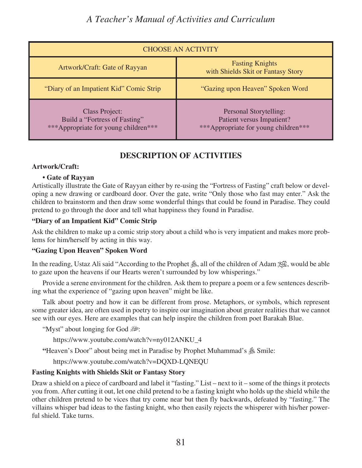# *A Teacher's Manual of Activities and Curriculum*

| <b>CHOOSE AN ACTIVITY</b>                                                                      |                                                                                                    |  |
|------------------------------------------------------------------------------------------------|----------------------------------------------------------------------------------------------------|--|
| Artwork/Craft: Gate of Rayyan                                                                  | <b>Fasting Knights</b><br>with Shields Skit or Fantasy Story                                       |  |
| "Diary of an Impatient Kid" Comic Strip                                                        | "Gazing upon Heaven" Spoken Word                                                                   |  |
| <b>Class Project:</b><br>Build a "Fortress of Fasting"<br>***Appropriate for young children*** | Personal Storytelling:<br><b>Patient versus Impatient?</b><br>***Appropriate for young children*** |  |

### **DESCRIPTION OF ACTIVITIES**

### **Artwork/Craft:**

### **• Gate of Rayyan**

Artistically illustrate the Gate of Rayyan either by re-using the "Fortress of Fasting" craft below or developing a new drawing or cardboard door. Over the gate, write "Only those who fast may enter." Ask the children to brainstorm and then draw some wonderful things that could be found in Paradise. They could pretend to go through the door and tell what happiness they found in Paradise.

### **"Diary of an Impatient Kid" Comic Strip**

Ask the children to make up a comic strip story about a child who is very impatient and makes more problems for him/herself by acting in this way.

### **"Gazing Upon Heaven" Spoken Word**

In the reading, Ustaz Ali said "According to the Prophet  $\hat{\mathcal{L}}$ , all of the children of Adam  $\hat{\mathcal{L}}$ , would be able to gaze upon the heavens if our Hearts weren't surrounded by low whisperings."

Provide a serene environment for the children. Ask them to prepare a poem or a few sentences describing what the experience of "gazing upon heaven" might be like.

Talk about poetry and how it can be different from prose. Metaphors, or symbols, which represent some greater idea, are often used in poetry to inspire our imagination about greater realities that we cannot see with our eyes. Here are examples that can help inspire the children from poet Barakah Blue.

"Myst" about longing for God

https://www.youtube.com/watch?v=ny012ANKU\_4

**"Heaven's Door" about being met in Paradise by Prophet Muhammad's**  $\frac{36}{5}$  **Smile:** 

https://www.youtube.com/watch?v=DQXD-LQNEQU

### **Fasting Knights with Shields Skit or Fantasy Story**

Draw a shield on a piece of cardboard and label it "fasting." List – next to it – some of the things it protects you from. After cutting it out, let one child pretend to be a fasting knight who holds up the shield while the other children pretend to be vices that try come near but then fly backwards, defeated by "fasting." The villains whisper bad ideas to the fasting knight, who then easily rejects the whisperer with his/her powerful shield. Take turns.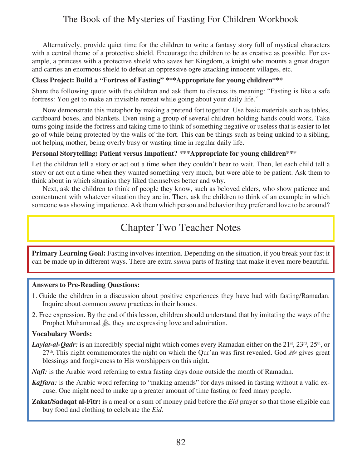Alternatively, provide quiet time for the children to write a fantasy story full of mystical characters with a central theme of a protective shield. Encourage the children to be as creative as possible. For example, a princess with a protective shield who saves her Kingdom, a knight who mounts a great dragon and carries an enormous shield to defeat an oppressive ogre attacking innocent villages, etc.

### **Class Project: Build a "Fortress of Fasting" \*\*\*Appropriate for young children\*\*\***

Share the following quote with the children and ask them to discuss its meaning: "Fasting is like a safe fortress: You get to make an invisible retreat while going about your daily life."

Now demonstrate this metaphor by making a pretend fort together. Use basic materials such as tables, cardboard boxes, and blankets. Even using a group of several children holding hands could work. Take turns going inside the fortress and taking time to think of something negative or useless that is easier to let go of while being protected by the walls of the fort. This can be things such as being unkind to a sibling, not helping mother, being overly busy or wasting time in regular daily life.

### **Personal Storytelling: Patient versus Impatient? \*\*\*Appropriate for young children\*\*\***

Let the children tell a story or act out a time when they couldn't bear to wait. Then, let each child tell a story or act out a time when they wanted something very much, but were able to be patient. Ask them to think about in which situation they liked themselves better and why.

Next, ask the children to think of people they know, such as beloved elders, who show patience and contentment with whatever situation they are in. Then, ask the children to think of an example in which someone was showing impatience. Ask them which person and behavior they prefer and love to be around?

# Chapter Two Teacher Notes

**Primary Learning Goal:** Fasting involves intention. Depending on the situation, if you break your fast it can be made up in different ways. There are extra *sunna* parts of fasting that make it even more beautiful.

### **Answers to Pre-Reading Questions:**

- 1. Guide the children in a discussion about positive experiences they have had with fasting/Ramadan. Inquire about common *sunna* practices in their homes.
- 2. Free expression. By the end of this lesson, children should understand that by imitating the ways of the Prophet Muhammad  $\hat{\mathcal{L}}$ , they are expressing love and admiration.

### **Vocabulary Words:**

*Laylat-al-Qadr:* is an incredibly special night which comes every Ramadan either on the 21<sup>st</sup>, 23<sup>rd</sup>, 25<sup>th</sup>, or 27<sup>th</sup>. This night commemorates the night on which the Qur'an was first revealed. God  $\mathbb{R}^n$  gives great blessings and forgiveness to His worshippers on this night.

*Nafl*: is the Arabic word referring to extra fasting days done outside the month of Ramadan.

- *Kaffara:* is the Arabic word referring to "making amends" for days missed in fasting without a valid excuse. One might need to make up a greater amount of time fasting or feed many people.
- **Zakat/Sadaqat al-Fitr:** is a meal or a sum of money paid before the *Eid* prayer so that those eligible can buy food and clothing to celebrate the *Eid.*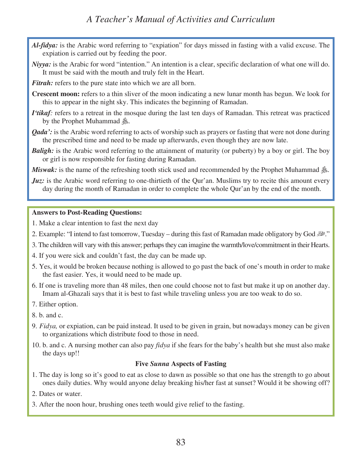# *A Teacher's Manual of Activities and Curriculum*

- *Al-fidya:* is the Arabic word referring to "expiation" for days missed in fasting with a valid excuse. The expiation is carried out by feeding the poor.
- *Niyya:* is the Arabic for word "intention." An intention is a clear, specific declaration of what one will do. It must be said with the mouth and truly felt in the Heart.

*Fitrah:* refers to the pure state into which we are all born.

- **Crescent moon:** refers to a thin sliver of the moon indicating a new lunar month has begun. We look for this to appear in the night sky. This indicates the beginning of Ramadan.
- *I'tikaf*: refers to a retreat in the mosque during the last ten days of Ramadan. This retreat was practiced by the Prophet Muhammad &.
- *Qada'*: is the Arabic word referring to acts of worship such as prayers or fasting that were not done during the prescribed time and need to be made up afterwards, even though they are now late.
- *Baligh:* is the Arabic word referring to the attainment of maturity (or puberty) by a boy or girl. The boy or girl is now responsible for fasting during Ramadan.

*Miswak:* is the name of the refreshing tooth stick used and recommended by the Prophet Muhammad .

*Juz*: is the Arabic word referring to one-thirtieth of the Qur'an. Muslims try to recite this amount every day during the month of Ramadan in order to complete the whole Qur'an by the end of the month.

#### **Answers to Post-Reading Questions:**

- 1. Make a clear intention to fast the next day
- 2. Example: "I intend to fast tomorrow, Tuesday during this fast of Ramadan made obligatory by God  $\mathbb{R}^2$ ."
- 3. The children will vary with this answer; perhaps they can imagine the warmth/love/commitment in their Hearts.
- 4. If you were sick and couldn't fast, the day can be made up.
- 5. Yes, it would be broken because nothing is allowed to go past the back of one's mouth in order to make the fast easier. Yes, it would need to be made up.
- 6. If one is traveling more than 48 miles, then one could choose not to fast but make it up on another day. Imam al-Ghazali says that it is best to fast while traveling unless you are too weak to do so.
- 7. Either option.
- 8. b. and c.
- 9. *Fidya,* or expiation, can be paid instead. It used to be given in grain, but nowadays money can be given to organizations which distribute food to those in need.
- 10. b. and c. A nursing mother can also pay *fidya* if she fears for the baby's health but she must also make the days up!!

#### **Five** *Sunna* **Aspects of Fasting**

- 1. The day is long so it's good to eat as close to dawn as possible so that one has the strength to go about ones daily duties. Why would anyone delay breaking his/her fast at sunset? Would it be showing off?
- 2. Dates or water.
- 3. After the noon hour, brushing ones teeth would give relief to the fasting.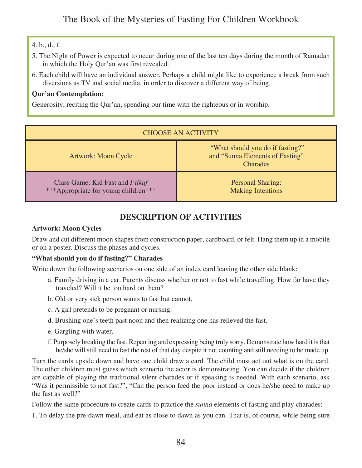### 4. b., d., f.

- 5. The Night of Power is expected to occur during one of the last ten days during the month of Ramadan in which the Holy Qur'an was first revealed.
- 6. Each child will have an individual answer. Perhaps a child might like to experience a break from such diversions as TV and social media, in order to discover a different way of being.

### **Qur'an Contemplation:**

Generosity, reciting the Qur'an, spending our time with the righteous or in worship.

| <b>CHOOSE AN ACTIVITY</b>                                                |                                                                                        |  |
|--------------------------------------------------------------------------|----------------------------------------------------------------------------------------|--|
| Artwork: Moon Cycle                                                      | "What should you do if fasting?"<br>and "Sunna Elements of Fasting"<br><b>Charades</b> |  |
| Class Game: Kid Fast and I'tikaf<br>***Appropriate for young children*** | <b>Personal Sharing:</b><br><b>Making Intentions</b>                                   |  |

### **DESCRIPTION OF ACTIVITIES**

### **Artwork: Moon Cycles**

Draw and cut different moon shapes from construction paper, cardboard, or felt. Hang them up in a mobile or on a poster. Discuss the phases and cycles.

### **"What should you do if fasting?" Charades**

Write down the following scenarios on one side of an index card leaving the other side blank:

- a. Family driving in a car. Parents discuss whether or not to fast while travelling. How far have they traveled? Will it be too hard on them?
- b. Old or very sick person wants to fast but cannot.
- c. A girl pretends to be pregnant or nursing.
- d. Brushing one's teeth past noon and then realizing one has relieved the fast.
- e. Gargling with water.
- f. Purposely breaking the fast. Repenting and expressing being truly sorry. Demonstrate how hard it is that he/she will still need to fast the rest of that day despite it not counting and still needing to be made up.

Turn the cards upside down and have one child draw a card. The child must act out what is on the card. The other children must guess which scenario the actor is demonstrating. You can decide if the children are capable of playing the traditional silent charades or if speaking is needed. With each scenario, ask "Was it permissible to not fast?", "Can the person feed the poor instead or does he/she need to make up the fast as well?"

Follow the same procedure to create cards to practice the *sunna* elements of fasting and play charades:

1. To delay the pre-dawn meal, and eat as close to dawn as you can. That is, of course, while being sure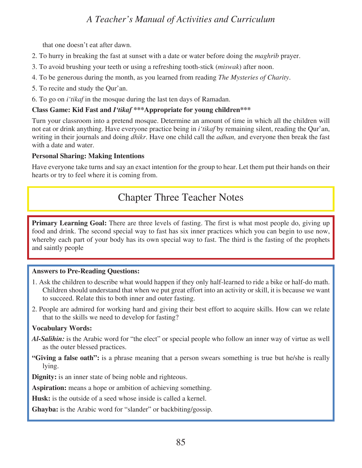# *A Teacher's Manual of Activities and Curriculum*

that one doesn't eat after dawn.

- 2. To hurry in breaking the fast at sunset with a date or water before doing the *maghrib* prayer.
- 3. To avoid brushing your teeth or using a refreshing tooth-stick (*miswak*) after noon.
- 4. To be generous during the month, as you learned from reading *The Mysteries of Charity*.
- 5. To recite and study the Qur'an.
- 6. To go on *i'tikaf* in the mosque during the last ten days of Ramadan.

#### **Class Game: Kid Fast and** *I'tikaf* **\*\*\*Appropriate for young children\*\*\***

Turn your classroom into a pretend mosque. Determine an amount of time in which all the children will not eat or drink anything. Have everyone practice being in *i'tikaf* by remaining silent, reading the Qur'an, writing in their journals and doing *dhikr*. Have one child call the *adhan,* and everyone then break the fast with a date and water.

#### **Personal Sharing: Making Intentions**

Have everyone take turns and say an exact intention for the group to hear. Let them put their hands on their hearts or try to feel where it is coming from.

# Chapter Three Teacher Notes

**Primary Learning Goal:** There are three levels of fasting. The first is what most people do, giving up food and drink. The second special way to fast has six inner practices which you can begin to use now, whereby each part of your body has its own special way to fast. The third is the fasting of the prophets and saintly people

### **Answers to Pre-Reading Questions:**

- 1. Ask the children to describe what would happen if they only half-learned to ride a bike or half-do math. Children should understand that when we put great effort into an activity or skill, it is because we want to succeed. Relate this to both inner and outer fasting.
- 2. People are admired for working hard and giving their best effort to acquire skills. How can we relate that to the skills we need to develop for fasting?

### **Vocabulary Words:**

- *Al-Salihin:* is the Arabic word for "the elect" or special people who follow an inner way of virtue as well as the outer blessed practices.
- **"Giving a false oath":** is a phrase meaning that a person swears something is true but he/she is really lying.

**Dignity:** is an inner state of being noble and righteous.

**Aspiration:** means a hope or ambition of achieving something.

**Husk:** is the outside of a seed whose inside is called a kernel.

**Ghayba:** is the Arabic word for "slander" or backbiting/gossip.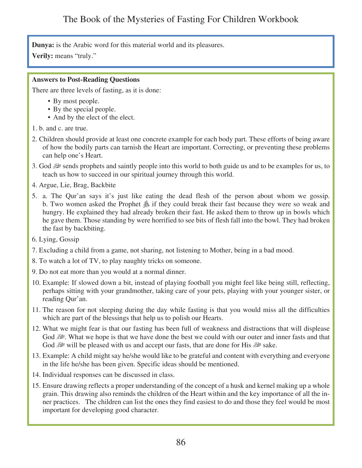**Dunya:** is the Arabic word for this material world and its pleasures.

**Verily:** means "truly."

### **Answers to Post-Reading Questions**

There are three levels of fasting, as it is done:

- By most people.
- By the special people.
- And by the elect of the elect.
- 1. b. and c. are true.
- 2. Children should provide at least one concrete example for each body part. These efforts of being aware of how the bodily parts can tarnish the Heart are important. Correcting, or preventing these problems can help one's Heart.
- 3. God  $\mathbb{R}^n$  sends prophets and saintly people into this world to both guide us and to be examples for us, to teach us how to succeed in our spiritual journey through this world.
- 4. Argue, Lie, Brag, Backbite
- 5. a. The Qur'an says it's just like eating the dead flesh of the person about whom we gossip. b. Two women asked the Prophet  $\&$  if they could break their fast because they were so weak and hungry. He explained they had already broken their fast. He asked them to throw up in bowls which he gave them. Those standing by were horrified to see bits of flesh fall into the bowl. They had broken the fast by backbiting.
- 6. Lying, Gossip
- 7. Excluding a child from a game, not sharing, not listening to Mother, being in a bad mood.
- 8. To watch a lot of TV, to play naughty tricks on someone.
- 9. Do not eat more than you would at a normal dinner.
- 10. Example: If slowed down a bit, instead of playing football you might feel like being still, reflecting, perhaps sitting with your grandmother, taking care of your pets, playing with your younger sister, or reading Qur'an.
- 11. The reason for not sleeping during the day while fasting is that you would miss all the difficulties which are part of the blessings that help us to polish our Hearts.
- 12. What we might fear is that our fasting has been full of weakness and distractions that will displease God u. What we hope is that we have done the best we could with our outer and inner fasts and that God  $\mathbb{R}^n$  will be pleased with us and accept our fasts, that are done for His  $\mathbb{R}^n$  sake.
- 13. Example: A child might say he/she would like to be grateful and content with everything and everyone in the life he/she has been given. Specific ideas should be mentioned.
- 14. Individual responses can be discussed in class.
- 15. Ensure drawing reflects a proper understanding of the concept of a husk and kernel making up a whole grain. This drawing also reminds the children of the Heart within and the key importance of all the inner practices. The children can list the ones they find easiest to do and those they feel would be most important for developing good character.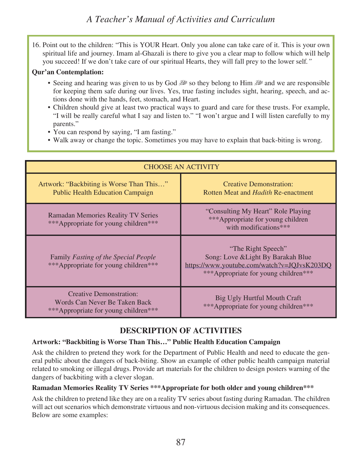16. Point out to the children: "This is YOUR Heart. Only you alone can take care of it. This is your own spiritual life and journey. Imam al-Ghazali is there to give you a clear map to follow which will help you succeed! If we don't take care of our spiritual Hearts, they will fall prey to the lower self*."*

### **Qur'an Contemplation:**

- Seeing and hearing was given to us by God street belong to Him streamed we are responsible for keeping them safe during our lives. Yes, true fasting includes sight, hearing, speech, and actions done with the hands, feet, stomach, and Heart.
- Children should give at least two practical ways to guard and care for these trusts. For example, "I will be really careful what I say and listen to." "I won't argue and I will listen carefully to my parents."
- You can respond by saying, "I am fasting."
- Walk away or change the topic. Sometimes you may have to explain that back-biting is wrong.

| <b>CHOOSE AN ACTIVITY</b>                                                                               |                                                                                                                                                 |  |
|---------------------------------------------------------------------------------------------------------|-------------------------------------------------------------------------------------------------------------------------------------------------|--|
| Artwork: "Backbiting is Worse Than This"<br><b>Public Health Education Campaign</b>                     | <b>Creative Demonstration:</b><br>Rotten Meat and <i>Hadith</i> Re-enactment                                                                    |  |
| <b>Ramadan Memories Reality TV Series</b><br>***Appropriate for young children***                       | "Consulting My Heart" Role Playing<br>***Appropriate for young children<br>with modifications***                                                |  |
| Family Fasting of the Special People<br>***Appropriate for young children***                            | "The Right Speech"<br>Song: Love & Light By Barakah Blue<br>https://www.youtube.com/watch?v=JQJvsK203DQ<br>***Appropriate for young children*** |  |
| <b>Creative Demonstration:</b><br>Words Can Never Be Taken Back<br>***Appropriate for young children*** | Big Ugly Hurtful Mouth Craft<br>***Appropriate for young children***                                                                            |  |

### **DESCRIPTION OF ACTIVITIES**

### **Artwork: "Backbiting is Worse Than This…" Public Health Education Campaign**

Ask the children to pretend they work for the Department of Public Health and need to educate the general public about the dangers of back-biting. Show an example of other public health campaign material related to smoking or illegal drugs. Provide art materials for the children to design posters warning of the dangers of backbiting with a clever slogan.

### **Ramadan Memories Reality TV Series \*\*\*Appropriate for both older and young children\*\*\***

Ask the children to pretend like they are on a reality TV series about fasting during Ramadan. The children will act out scenarios which demonstrate virtuous and non-virtuous decision making and its consequences. Below are some examples: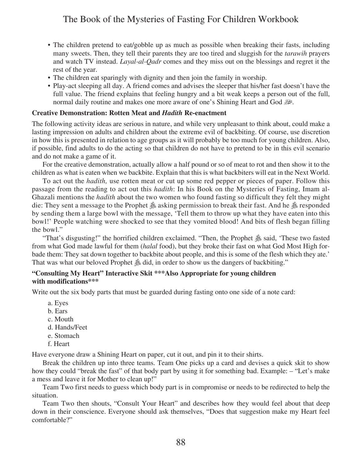- The children pretend to eat/gobble up as much as possible when breaking their fasts, including many sweets. Then, they tell their parents they are too tired and sluggish for the *tarawih* prayers and watch TV instead. *Layal-al-Qadr* comes and they miss out on the blessings and regret it the rest of the year.
- The children eat sparingly with dignity and then join the family in worship.
- Play-act sleeping all day. A friend comes and advises the sleeper that his/her fast doesn't have the full value. The friend explains that feeling hungry and a bit weak keeps a person out of the full, normal daily routine and makes one more aware of one's Shining Heart and God  $\mathbb{R}^2$ .

#### **Creative Demonstration: Rotten Meat and** *Hadith* **Re-enactment**

The following activity ideas are serious in nature, and while very unpleasant to think about, could make a lasting impression on adults and children about the extreme evil of backbiting. Of course, use discretion in how this is presented in relation to age groups as it will probably be too much for young children. Also, if possible, find adults to do the acting so that children do not have to pretend to be in this evil scenario and do not make a game of it.

For the creative demonstration, actually allow a half pound or so of meat to rot and then show it to the children as what is eaten when we backbite. Explain that this is what backbiters will eat in the Next World.

To act out the *hadith,* use rotten meat or cut up some red pepper or pieces of paper. Follow this passage from the reading to act out this *hadith*: In his Book on the Mysteries of Fasting, Imam al-Ghazali mentions the *hadith* about the two women who found fasting so difficult they felt they might die: They sent a message to the Prophet  $\&$  asking permission to break their fast. And he  $\&$  responded by sending them a large bowl with the message, 'Tell them to throw up what they have eaten into this bowl!' People watching were shocked to see that they vomited blood! And bits of flesh began filling the bowl."

"That's disgusting!" the horrified children exclaimed. "Then, the Prophet  $\&$  said, 'These two fasted from what God made lawful for them (*halal* food), but they broke their fast on what God Most High forbade them: They sat down together to backbite about people, and this is some of the flesh which they ate.' That was what our beloved Prophet  $\&$  did, in order to show us the dangers of backbiting."

#### **"Consulting My Heart" Interactive Skit \*\*\*Also Appropriate for young children with modifications\*\*\***

Write out the six body parts that must be guarded during fasting onto one side of a note card:

- a. Eyes
- b. Ears
- c. Mouth
- d. Hands/Feet
- e. Stomach
- f. Heart

Have everyone draw a Shining Heart on paper, cut it out, and pin it to their shirts.

Break the children up into three teams. Team One picks up a card and devises a quick skit to show how they could "break the fast" of that body part by using it for something bad. Example: – "Let's make a mess and leave it for Mother to clean up!"

Team Two first needs to guess which body part is in compromise or needs to be redirected to help the situation.

Team Two then shouts, "Consult Your Heart" and describes how they would feel about that deep down in their conscience. Everyone should ask themselves, "Does that suggestion make my Heart feel comfortable?"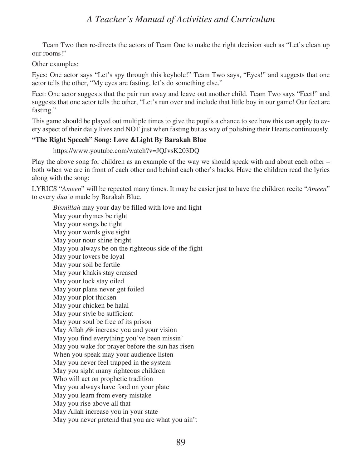Team Two then re-directs the actors of Team One to make the right decision such as "Let's clean up our rooms!"

Other examples:

Eyes: One actor says "Let's spy through this keyhole!" Team Two says, "Eyes!" and suggests that one actor tells the other, "My eyes are fasting, let's do something else."

Feet: One actor suggests that the pair run away and leave out another child. Team Two says "Feet!" and suggests that one actor tells the other, "Let's run over and include that little boy in our game! Our feet are fasting."

This game should be played out multiple times to give the pupils a chance to see how this can apply to every aspect of their daily lives and NOT just when fasting but as way of polishing their Hearts continuously.

### **"The Right Speech" Song: Love &Light By Barakah Blue**

https://www.youtube.com/watch?v=JQJvsK203DQ

Play the above song for children as an example of the way we should speak with and about each other – both when we are in front of each other and behind each other's backs. Have the children read the lyrics along with the song:

LYRICS "*Ameen*" will be repeated many times. It may be easier just to have the children recite "*Ameen*" to every *dua'a* made by Barakah Blue.

*Bismillah* may your day be filled with love and light May your rhymes be right May your songs be tight May your words give sight May your nour shine bright May you always be on the righteous side of the fight May your lovers be loyal May your soil be fertile May your khakis stay creased May your lock stay oiled May your plans never get foiled May your plot thicken May your chicken be halal May your style be sufficient May your soul be free of its prison May Allah  $\mathbb{R}^2$  increase you and your vision May you find everything you've been missin' May you wake for prayer before the sun has risen When you speak may your audience listen May you never feel trapped in the system May you sight many righteous children Who will act on prophetic tradition May you always have food on your plate May you learn from every mistake May you rise above all that May Allah increase you in your state May you never pretend that you are what you ain't